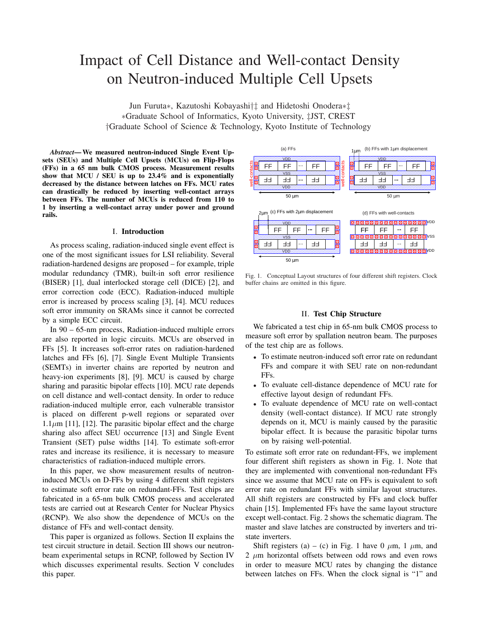# Impact of Cell Distance and Well-contact Density on Neutron-induced Multiple Cell Upsets

Jun Furuta*∗*, Kazutoshi Kobayashi*†‡* and Hidetoshi Onodera*∗‡ ∗*Graduate School of Informatics, Kyoto University, *‡*JST, CREST *†*Graduate School of Science & Technology, Kyoto Institute of Technology

*Abstract*—We measured neutron-induced Single Event Upsets (SEUs) and Multiple Cell Upsets (MCUs) on Flip-Flops (FFs) in a 65 nm bulk CMOS process. Measurement results show that MCU / SEU is up to 23.4% and is exponentially decreased by the distance between latches on FFs. MCU rates can drastically be reduced by inserting well-contact arrays between FFs. The number of MCUs is reduced from 110 to 1 by inserting a well-contact array under power and ground rails.

#### I. Introduction

As process scaling, radiation-induced single event effect is one of the most significant issues for LSI reliability. Several radiation-hardened designs are proposed – for example, triple modular redundancy (TMR), built-in soft error resilience (BISER) [1], dual interlocked storage cell (DICE) [2], and error correction code (ECC). Radiation-induced multiple error is increased by process scaling [3], [4]. MCU reduces soft error immunity on SRAMs since it cannot be corrected by a simple ECC circuit.

In 90 – 65-nm process, Radiation-induced multiple errors are also reported in logic circuits. MCUs are observed in FFs [5]. It increases soft-error rates on radiation-hardened latches and FFs [6], [7]. Single Event Multiple Transients (SEMTs) in inverter chains are reported by neutron and heavy-ion experiments [8], [9]. MCU is caused by charge sharing and parasitic bipolar effects [10]. MCU rate depends on cell distance and well-contact density. In order to reduce radiation-induced multiple error, each vulnerable transistor is placed on different p-well regions or separated over  $1.1\mu$ m [11], [12]. The parasitic bipolar effect and the charge sharing also affect SEU occurrence [13] and Single Event Transient (SET) pulse widths [14]. To estimate soft-error rates and increase its resilience, it is necessary to measure characteristics of radiation-induced multiple errors.

In this paper, we show measurement results of neutroninduced MCUs on D-FFs by using 4 different shift registers to estimate soft error rate on redundant-FFs. Test chips are fabricated in a 65-nm bulk CMOS process and accelerated tests are carried out at Research Center for Nuclear Physics (RCNP). We also show the dependence of MCUs on the distance of FFs and well-contact density.

This paper is organized as follows. Section II explains the test circuit structure in detail. Section III shows our neutronbeam experimental setups in RCNP, followed by Section IV which discusses experimental results. Section V concludes this paper.



Fig. 1. Conceptual Layout structures of four different shift registers. Clock buffer chains are omitted in this figure.

### II. Test Chip Structure

We fabricated a test chip in 65-nm bulk CMOS process to measure soft error by spallation neutron beam. The purposes of the test chip are as follows.

- *•* To estimate neutron-induced soft error rate on redundant FFs and compare it with SEU rate on non-redundant FFs.
- *•* To evaluate cell-distance dependence of MCU rate for effective layout design of redundant FFs.
- *•* To evaluate dependence of MCU rate on well-contact density (well-contact distance). If MCU rate strongly depends on it, MCU is mainly caused by the parasitic bipolar effect. It is because the parasitic bipolar turns on by raising well-potential.

To estimate soft error rate on redundant-FFs, we implement four different shift registers as shown in Fig. 1. Note that they are implemented with conventional non-redundant FFs since we assume that MCU rate on FFs is equivalent to soft error rate on redundant FFs with similar layout structures. All shift registers are constructed by FFs and clock buffer chain [15]. Implemented FFs have the same layout structure except well-contact. Fig. 2 shows the schematic diagram. The master and slave latches are constructed by inverters and tristate inverters.

Shift registers (a) – (c) in Fig. 1 have 0  $\mu$ m, 1  $\mu$ m, and 2 *µ*m horizontal offsets between odd rows and even rows in order to measure MCU rates by changing the distance between latches on FFs. When the clock signal is "1" and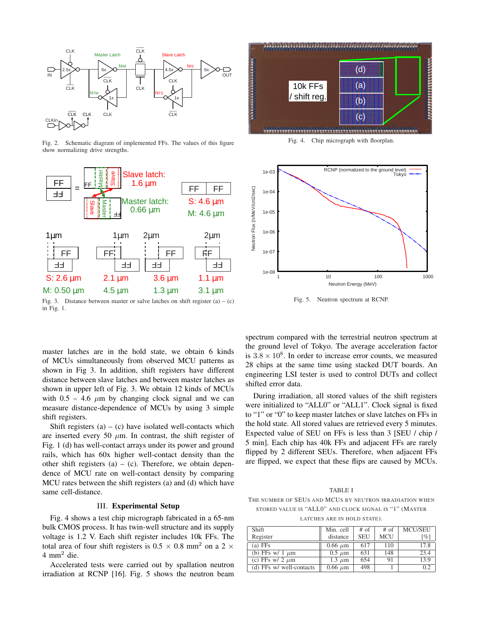

Fig. 2. Schematic diagram of implemented FFs. The values of this figure show normalizing drive strengths.



Fig. 3. Distance between master or salve latches on shift register  $(a) - (c)$ in Fig. 1.

master latches are in the hold state, we obtain 6 kinds of MCUs simultaneously from observed MCU patterns as shown in Fig 3. In addition, shift registers have different distance between slave latches and between master latches as shown in upper left of Fig. 3. We obtain 12 kinds of MCUs with  $0.5 - 4.6 \mu m$  by changing clock signal and we can measure distance-dependence of MCUs by using 3 simple shift registers.

Shift registers  $(a) - (c)$  have isolated well-contacts which are inserted every 50  $\mu$ m. In contrast, the shift register of Fig. 1 (d) has well-contact arrays under its power and ground rails, which has 60x higher well-contact density than the other shift registers  $(a) - (c)$ . Therefore, we obtain dependence of MCU rate on well-contact density by comparing MCU rates between the shift registers (a) and (d) which have same cell-distance.

## III. Experimental Setup

Fig. 4 shows a test chip micrograph fabricated in a 65-nm bulk CMOS process. It has twin-well structure and its supply voltage is 1.2 V. Each shift register includes 10k FFs. The total area of four shift registers is  $0.5 \times 0.8$  mm<sup>2</sup> on a 2  $\times$  $4 \text{ mm}^2$  die.

Accelerated tests were carried out by spallation neutron irradiation at RCNP [16]. Fig. 5 shows the neutron beam



Fig. 4. Chip micrograph with floorplan.



Fig. 5. Neutron spectrum at RCNP.

spectrum compared with the terrestrial neutron spectrum at the ground level of Tokyo. The average acceleration factor is  $3.8 \times 10^8$ . In order to increase error counts, we measured 28 chips at the same time using stacked DUT boards. An engineering LSI tester is used to control DUTs and collect shifted error data.

During irradiation, all stored values of the shift registers were initialized to "ALL0" or "ALL1". Clock signal is fixed to "1" or "0" to keep master latches or slave latches on FFs in the hold state. All stored values are retrieved every 5 minutes. Expected value of SEU on FFs is less than 3 [SEU / chip / 5 min]. Each chip has 40k FFs and adjacent FFs are rarely flipped by 2 different SEUs. Therefore, when adjacent FFs are flipped, we expect that these flips are caused by MCUs.

TABLE I

THE NUMBER OF SELLS AND MCUS BY NEUTRON IRRADIATION WHEN STORED VALUE IS "ALL0" AND CLOCK SIGNAL IS "1" (MASTER

LATCHES ARE IN HOLD STATE).

| <b>Shift</b>             | Min. cell    | $#$ of     | $#$ of     | <b>MCU/SEU</b>     |
|--------------------------|--------------|------------|------------|--------------------|
| Register                 | distance     | <b>SEU</b> | <b>MCU</b> | $\lceil \% \rceil$ |
| $(a)$ FFs                | $0.66 \mu m$ | 617        | 110        | 17.8               |
| (b) FFs w/ 1 $\mu$ m     | $0.5 \mu m$  | 631        | 148        | 23.4               |
| (c) FFs w/ 2 $\mu$ m     | $1.3 \mu m$  | 654        | 91         | 13.9               |
| (d) FFs w/ well-contacts | $0.66 \mu m$ | 498        |            | 0.2                |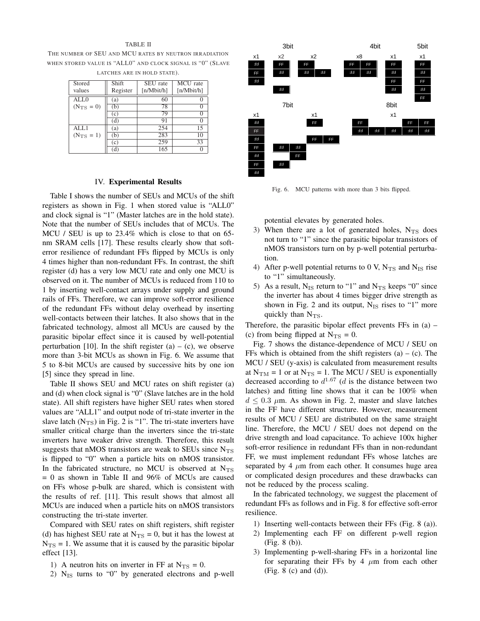#### TABLE II

THE NUMBER OF SEU AND MCU RATES BY NEUTRON IRRADIATION WHEN STORED VALUE IS "ALL0" AND CLOCK SIGNAL IS "0" (SLAVE LATCHES ARE IN HOLD STATE).

| Stored                | Shift    | SEU rate   | MCU rate        |
|-----------------------|----------|------------|-----------------|
|                       |          |            |                 |
| values                | Register | [n/Mbit/h] | [n/Mbit/h]      |
| ALL0                  | (a)      | 60         |                 |
| $(N_{\text{TS}} = 0)$ | (b)      | 78         |                 |
|                       | (c)      | 79         |                 |
|                       | (d)      | 91         |                 |
| AIJ.1                 | (a)      | 254        | 15              |
| $(N_{\text{TS}} = 1)$ | (b)      | 283        | $\overline{10}$ |
|                       | (c)      | 259        | 33              |
|                       |          | 165        |                 |

# IV. Experimental Results

Table I shows the number of SEUs and MCUs of the shift registers as shown in Fig. 1 when stored value is "ALL0" and clock signal is "1" (Master latches are in the hold state). Note that the number of SEUs includes that of MCUs. The MCU / SEU is up to 23.4% which is close to that on 65 nm SRAM cells [17]. These results clearly show that softerror resilience of redundant FFs flipped by MCUs is only 4 times higher than non-redundant FFs. In contrast, the shift register (d) has a very low MCU rate and only one MCU is observed on it. The number of MCUs is reduced from 110 to 1 by inserting well-contact arrays under supply and ground rails of FFs. Therefore, we can improve soft-error resilience of the redundant FFs without delay overhead by inserting well-contacts between their latches. It also shows that in the fabricated technology, almost all MCUs are caused by the parasitic bipolar effect since it is caused by well-potential perturbation [10]. In the shift register (a) – (c), we observe more than 3-bit MCUs as shown in Fig. 6. We assume that 5 to 8-bit MCUs are caused by successive hits by one ion [5] since they spread in line.

Table II shows SEU and MCU rates on shift register (a) and (d) when clock signal is "0" (Slave latches are in the hold state). All shift registers have higher SEU rates when stored values are "ALL1" and output node of tri-state inverter in the slave latch  $(N_{TS})$  in Fig. 2 is "1". The tri-state inverters have smaller critical charge than the inverters since the tri-state inverters have weaker drive strength. Therefore, this result suggests that nMOS transistors are weak to SEUs since  $N_{\text{TS}}$ is flipped to "0" when a particle hits on nMOS transistor. In the fabricated structure, no MCU is observed at  $N_{\rm TS}$  $= 0$  as shown in Table II and 96% of MCUs are caused on FFs whose p-bulk are shared, which is consistent with the results of ref. [11]. This result shows that almost all MCUs are induced when a particle hits on nMOS transistors constructing the tri-state inverter.

Compared with SEU rates on shift registers, shift register (d) has highest SEU rate at  $N_{TS} = 0$ , but it has the lowest at  $N_{\text{TS}} = 1$ . We assume that it is caused by the parasitic bipolar effect [13].

- 1) A neutron hits on inverter in FF at  $N_{\text{TS}} = 0$ .
- 2)  $N_{IS}$  turns to "0" by generated electrons and p-well



Fig. 6. MCU patterns with more than 3 bits flipped.

potential elevates by generated holes.

- 3) When there are a lot of generated holes,  $N_{TS}$  does not turn to "1" since the parasitic bipolar transistors of nMOS transistors turn on by p-well potential perturbation.
- 4) After p-well potential returns to 0 V,  $N_{TS}$  and  $N_{IS}$  rise to "1" simultaneously.
- 5) As a result,  $N_{IS}$  return to "1" and  $N_{TS}$  keeps "0" since the inverter has about 4 times bigger drive strength as shown in Fig. 2 and its output, N<sub>IS</sub> rises to "1" more quickly than  $N_{\text{TS}}$ .

Therefore, the parasitic bipolar effect prevents FFs in (a) – (c) from being flipped at  $N_{\text{TS}} = 0$ .

Fig. 7 shows the distance-dependence of MCU / SEU on FFs which is obtained from the shift registers  $(a) - (c)$ . The MCU / SEU (y-axis) is calculated from measurement results at  $N_{\text{TM}} = 1$  or at  $N_{\text{TS}} = 1$ . The MCU / SEU is exponentially decreased according to  $d^{1.67}$  ( $d$  is the distance between two latches) and fitting line shows that it can be 100% when  $d \leq 0.3$   $\mu$ m. As shown in Fig. 2, master and slave latches in the FF have different structure. However, measurement results of MCU / SEU are distributed on the same straight line. Therefore, the MCU / SEU does not depend on the drive strength and load capacitance. To achieve 100x higher soft-error resilience in redundant FFs than in non-redundant FF, we must implement redundant FFs whose latches are separated by 4  $\mu$ m from each other. It consumes huge area or complicated design procedures and these drawbacks can not be reduced by the process scaling.

In the fabricated technology, we suggest the placement of redundant FFs as follows and in Fig. 8 for effective soft-error resilience.

- 1) Inserting well-contacts between their FFs (Fig. 8 (a)).
- 2) Implementing each FF on different p-well region (Fig. 8 (b)).
- 3) Implementing p-well-sharing FFs in a horizontal line for separating their FFs by 4  $\mu$ m from each other (Fig. 8 (c) and (d)).